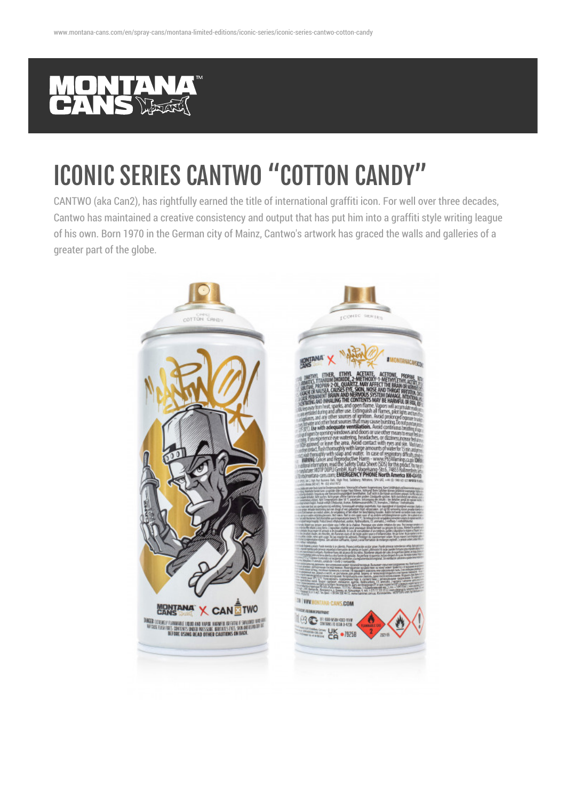

## ICONIC SERIES CANTWO "COTTON CANDY"

CANTWO (aka Can2), has rightfully earned the title of international graffiti icon. For well over three decades, Cantwo has maintained a creative consistency and output that has put him into a graffiti style writing league of his own. Born 1970 in the German city of Mainz, Cantwo's artwork has graced the walls and galleries of a greater part of the globe.